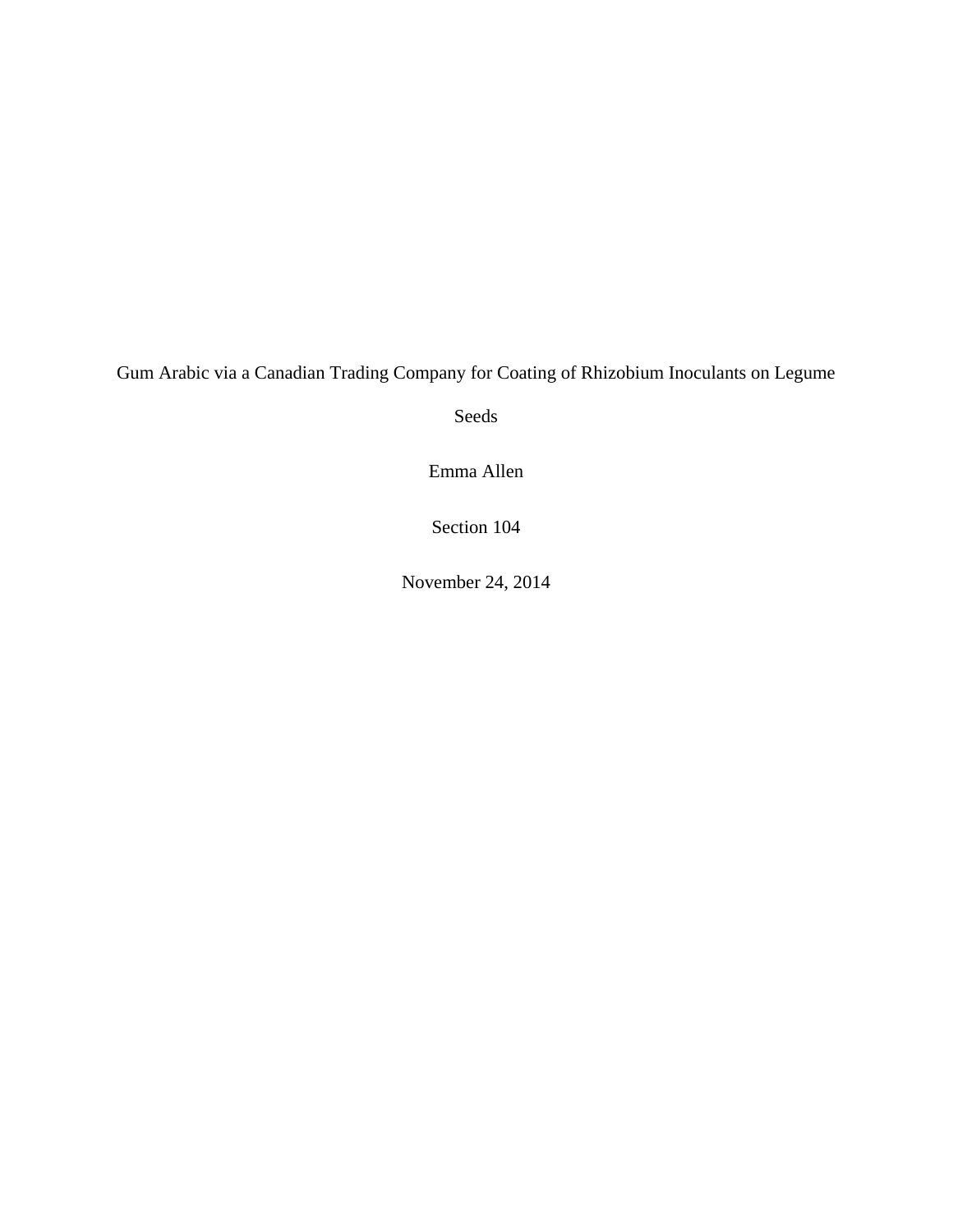Gum Arabic via a Canadian Trading Company for Coating of Rhizobium Inoculants on Legume

Seeds

Emma Allen

Section 104

November 24, 2014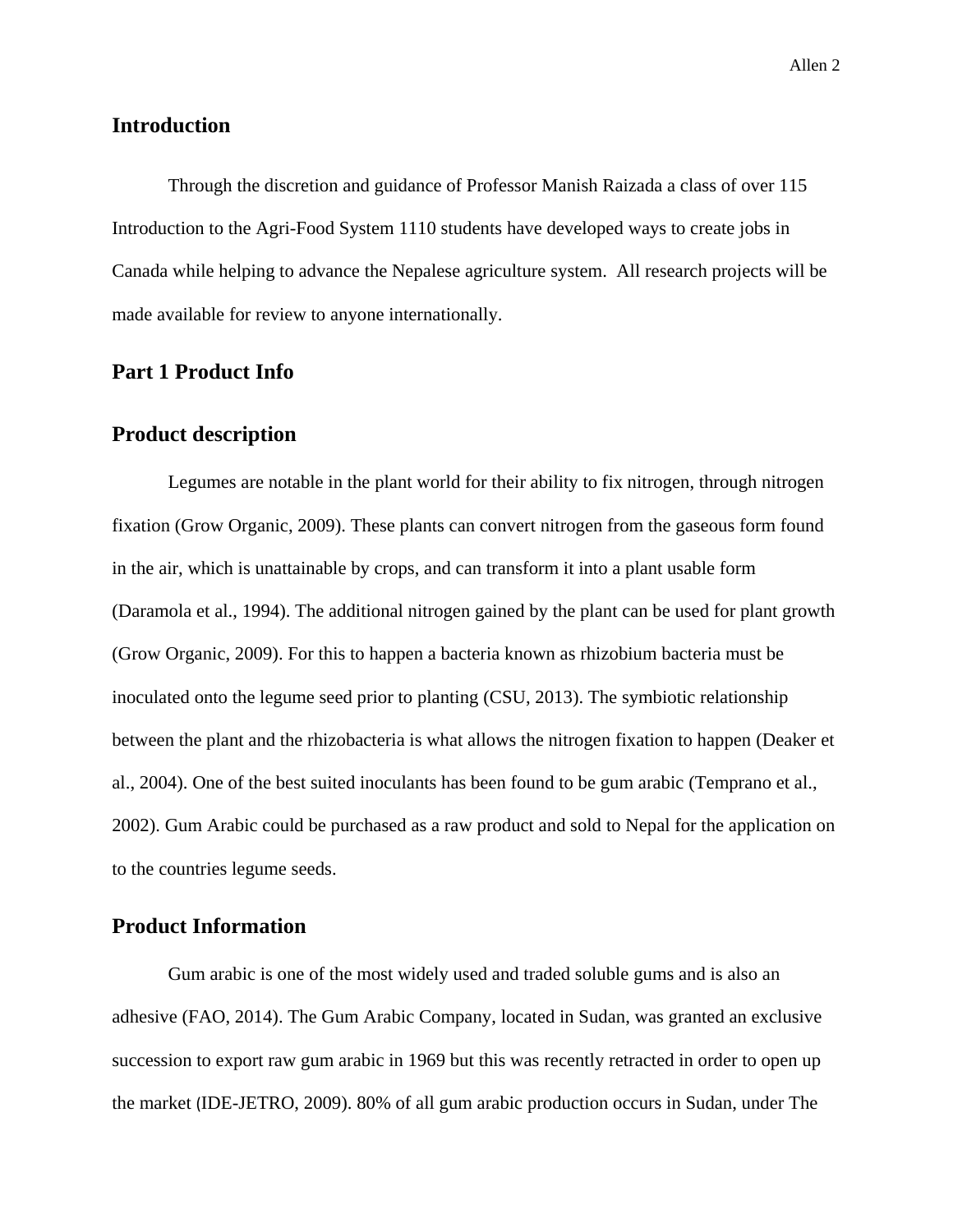## **Introduction**

Through the discretion and guidance of Professor Manish Raizada a class of over 115 Introduction to the Agri-Food System 1110 students have developed ways to create jobs in Canada while helping to advance the Nepalese agriculture system. All research projects will be made available for review to anyone internationally.

## **Part 1 Product Info**

### **Product description**

Legumes are notable in the plant world for their ability to fix nitrogen, through nitrogen fixation (Grow Organic, 2009). These plants can convert nitrogen from the gaseous form found in the air, which is unattainable by crops, and can transform it into a plant usable form (Daramola et al., 1994). The additional nitrogen gained by the plant can be used for plant growth (Grow Organic, 2009). For this to happen a bacteria known as rhizobium bacteria must be inoculated onto the legume seed prior to planting (CSU, 2013). The symbiotic relationship between the plant and the rhizobacteria is what allows the nitrogen fixation to happen (Deaker et al., 2004). One of the best suited inoculants has been found to be gum arabic (Temprano et al., 2002). Gum Arabic could be purchased as a raw product and sold to Nepal for the application on to the countries legume seeds.

## **Product Information**

Gum arabic is one of the most widely used and traded soluble gums and is also an adhesive (FAO, 2014). The Gum Arabic Company, located in Sudan, was granted an exclusive succession to export raw gum arabic in 1969 but this was recently retracted in order to open up the market (IDE-JETRO, 2009). 80% of all gum arabic production occurs in Sudan, under The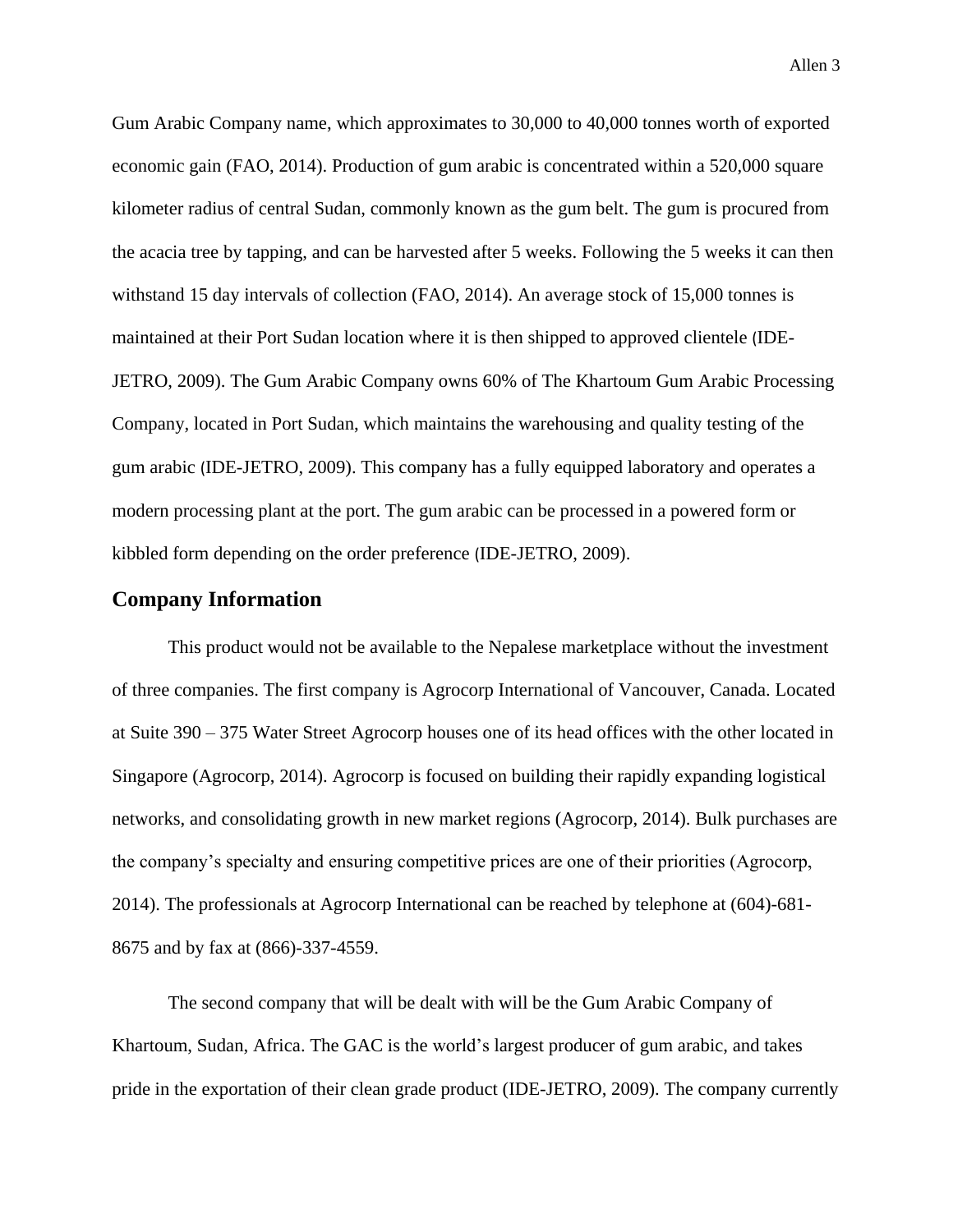Gum Arabic Company name, which approximates to 30,000 to 40,000 tonnes worth of exported economic gain (FAO, 2014). Production of gum arabic is concentrated within a 520,000 square kilometer radius of central Sudan, commonly known as the gum belt. The gum is procured from the acacia tree by tapping, and can be harvested after 5 weeks. Following the 5 weeks it can then withstand 15 day intervals of collection (FAO, 2014). An average stock of 15,000 tonnes is maintained at their Port Sudan location where it is then shipped to approved clientele (IDE-JETRO, 2009). The Gum Arabic Company owns 60% of The Khartoum Gum Arabic Processing Company, located in Port Sudan, which maintains the warehousing and quality testing of the gum arabic (IDE-JETRO, 2009). This company has a fully equipped laboratory and operates a modern processing plant at the port. The gum arabic can be processed in a powered form or kibbled form depending on the order preference (IDE-JETRO, 2009).

### **Company Information**

This product would not be available to the Nepalese marketplace without the investment of three companies. The first company is Agrocorp International of Vancouver, Canada. Located at Suite 390 – 375 Water Street Agrocorp houses one of its head offices with the other located in Singapore (Agrocorp, 2014). Agrocorp is focused on building their rapidly expanding logistical networks, and consolidating growth in new market regions (Agrocorp, 2014). Bulk purchases are the company's specialty and ensuring competitive prices are one of their priorities (Agrocorp, 2014). The professionals at Agrocorp International can be reached by telephone at (604)-681- 8675 and by fax at (866)-337-4559.

The second company that will be dealt with will be the Gum Arabic Company of Khartoum, Sudan, Africa. The GAC is the world's largest producer of gum arabic, and takes pride in the exportation of their clean grade product (IDE-JETRO, 2009). The company currently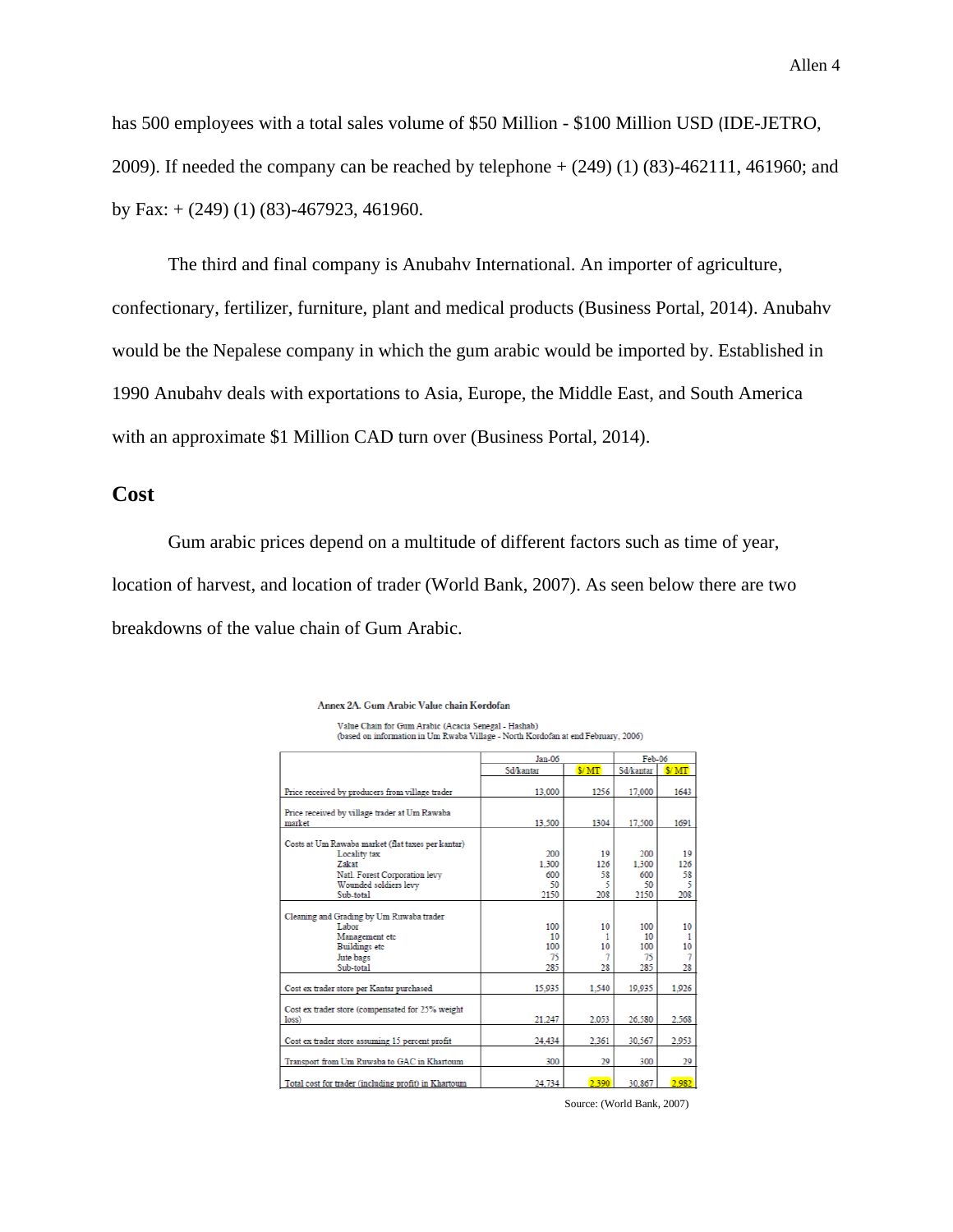has 500 employees with a total sales volume of \$50 Million - \$100 Million USD (IDE-JETRO, 2009). If needed the company can be reached by telephone + (249) (1) (83)-462111, 461960; and by Fax:  $+ (249) (1) (83)$ -467923, 461960.

The third and final company is Anubahv International. An importer of agriculture, confectionary, fertilizer, furniture, plant and medical products (Business Portal, 2014). Anubahv would be the Nepalese company in which the gum arabic would be imported by. Established in 1990 Anubahv deals with exportations to Asia, Europe, the Middle East, and South America with an approximate \$1 Million CAD turn over (Business Portal, 2014).

## **Cost**

Gum arabic prices depend on a multitude of different factors such as time of year, location of harvest, and location of trader (World Bank, 2007). As seen below there are two breakdowns of the value chain of Gum Arabic.

|                                                           | Jan-06           | Feb-06 |           |                |
|-----------------------------------------------------------|------------------|--------|-----------|----------------|
|                                                           | Sd/kantar        | NMT    | Sd/kantar | \$/MT          |
| Price received by producers from village trader           | 13.000           | 1256   | 17,000    | 1643           |
| Price received by village trader at Um Rawaba             |                  |        |           |                |
| market                                                    | 13,500           | 1304   | 17,500    | 1691           |
| Costs at Um Rawaba market (flat taxes per kantar)         |                  |        |           |                |
| Locality tax                                              | 200              | 19     | 200       | 19             |
| <b>Zakat</b>                                              | 1.300            | 126    | 1.300     | 126            |
| Natl. Forest Corporation levy                             | 600              | 58     | 600       | 58             |
| Wounded soldiers levy                                     | 50               | 5      | 50        | 5              |
| Sub-total                                                 | 2150             | 208    | 2150      | 208            |
| Cleaning and Grading by Um Ruwaba trader                  |                  |        |           |                |
| Labor                                                     | 100              | 10     | 100       | 10             |
| Management etc                                            | 10 <sup>10</sup> | 1      | 10        | 1              |
| <b>Buildings</b> etc                                      | 100              | 10     | 100       | 10             |
| Jute bags                                                 | 75               |        | 75        | $\overline{7}$ |
| Sub-total                                                 | 285              | 28     | 285       | 28             |
| Cost ex trader store per Kantar purchased                 | 15.935           | 1.540  | 19.935    | 1.926          |
|                                                           |                  |        |           |                |
| Cost ex trader store (compensated for 25% weight<br>loss) | 21.247           | 2.053  | 26,580    | 2.568          |
|                                                           |                  |        |           |                |
| Cost ex trader store assuming 15 percent profit           | 24,434           | 2.361  | 30.567    | 2.953          |
| Transport from Um Ruwaba to GAC in Khartoum               | 300              | 29     | 300       | 29             |
| Total cost for trader (including profit) in Khartoum      | 24.734           | 2.390  | 30.867    | 2.982          |

Annex 2A. Gum Arabic Value chain Kordofan

Source: (World Bank, 2007)

Value Chain for Gum Arabic (Acacia Senegal - Hashab)<br>(based on information in Um Rwaba Village - North Kordofan at end February, 2006)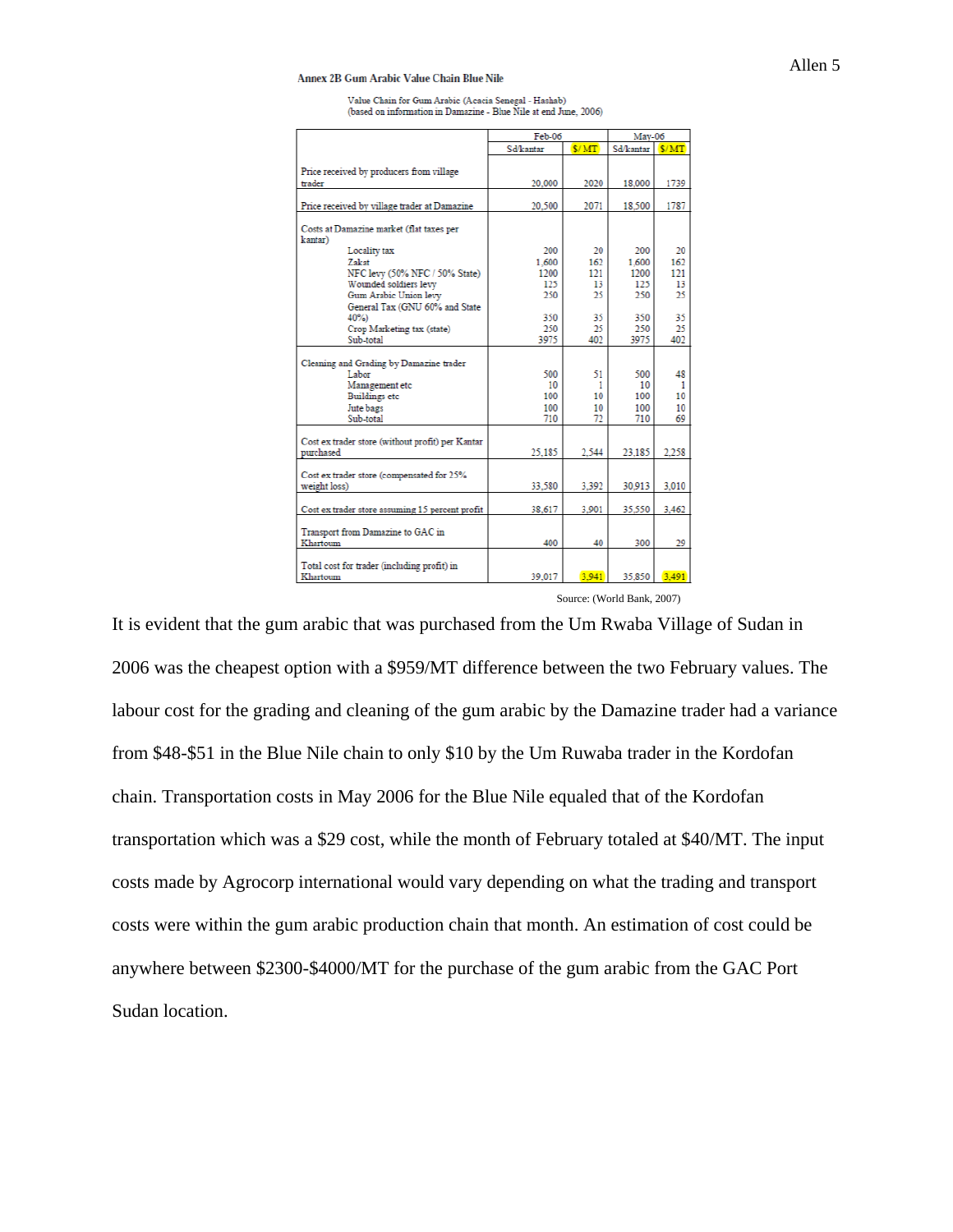Annex 2B Gum Arabic Value Chain Blue Nile

Value Chain for Gum Arabic (Acacia Senegal - Hashab)<br>(based on information in Damazine - Blue Nile at end June, 2006)

|                                                  | Feb-06    |         | May-06    |         |
|--------------------------------------------------|-----------|---------|-----------|---------|
|                                                  | Sd/kantar | \$/MT   | Sd/kantar | S/MT    |
|                                                  |           |         |           |         |
| Price received by producers from village         |           |         |           |         |
| trader                                           | 20,000    | 2020    | 18,000    | 1739    |
| Price received by village trader at Damazine     | 20.500    | 2071    | 18.500    | 1787    |
|                                                  |           |         |           |         |
| Costs at Damazine market (flat taxes per         |           |         |           |         |
| kantar)                                          | 200       | 20      | 200       | 20      |
| Locality tax<br><b>Zakat</b>                     | 1.600     | 162     | 1.600     | 162     |
| NFC levy (50% NFC / 50% State)                   | 1200      | 121     | 1200      | 121     |
| Wounded soldiers levy                            | 125       | 13      | 125       | 13      |
| Gum Arabic Union levy                            | 250       | 25      | 250       | 25      |
| General Tax (GNU 60% and State                   |           |         |           |         |
| 40%)                                             | 350       | 35      | 350       | 35      |
| Crop Marketing tax (state)                       | 250       | 25      | 250       | 25      |
| Sub-total                                        | 3975      | 402     | 3975      | 402     |
|                                                  |           |         |           |         |
| Cleaning and Grading by Damazine trader          |           |         |           |         |
| Labor                                            | 500<br>10 | 51      | 500<br>10 | 48<br>1 |
| Management etc<br><b>Buildings</b> etc           | 100       | 1<br>10 | 100       | 10      |
| Jute bags                                        | 100       | 10      | 100       | 10      |
| Sub-total                                        | 710       | 72      | 710       | 69      |
|                                                  |           |         |           |         |
| Cost ex trader store (without profit) per Kantar |           |         |           |         |
| purchased                                        | 25.185    | 2.544   | 23.185    | 2.258   |
|                                                  |           |         |           |         |
| Cost ex trader store (compensated for 25%        |           |         |           |         |
| weight loss)                                     | 33,580    | 3.392   | 30.913    | 3.010   |
|                                                  |           |         |           |         |
| Cost ex trader store assuming 15 percent profit  | 38,617    | 3.901   | 35.550    | 3.462   |
| Transport from Damazine to GAC in                |           |         |           |         |
| Khartoum                                         | 400       | 40      | 300       | 29      |
|                                                  |           |         |           |         |
| Total cost for trader (including profit) in      |           |         |           |         |
| Khartoum                                         | 39.017    | 3.941   | 35,850    | 3.491   |

Source: (World Bank, 2007)

It is evident that the gum arabic that was purchased from the Um Rwaba Village of Sudan in 2006 was the cheapest option with a \$959/MT difference between the two February values. The labour cost for the grading and cleaning of the gum arabic by the Damazine trader had a variance from \$48-\$51 in the Blue Nile chain to only \$10 by the Um Ruwaba trader in the Kordofan chain. Transportation costs in May 2006 for the Blue Nile equaled that of the Kordofan transportation which was a \$29 cost, while the month of February totaled at \$40/MT. The input costs made by Agrocorp international would vary depending on what the trading and transport costs were within the gum arabic production chain that month. An estimation of cost could be anywhere between \$2300-\$4000/MT for the purchase of the gum arabic from the GAC Port Sudan location.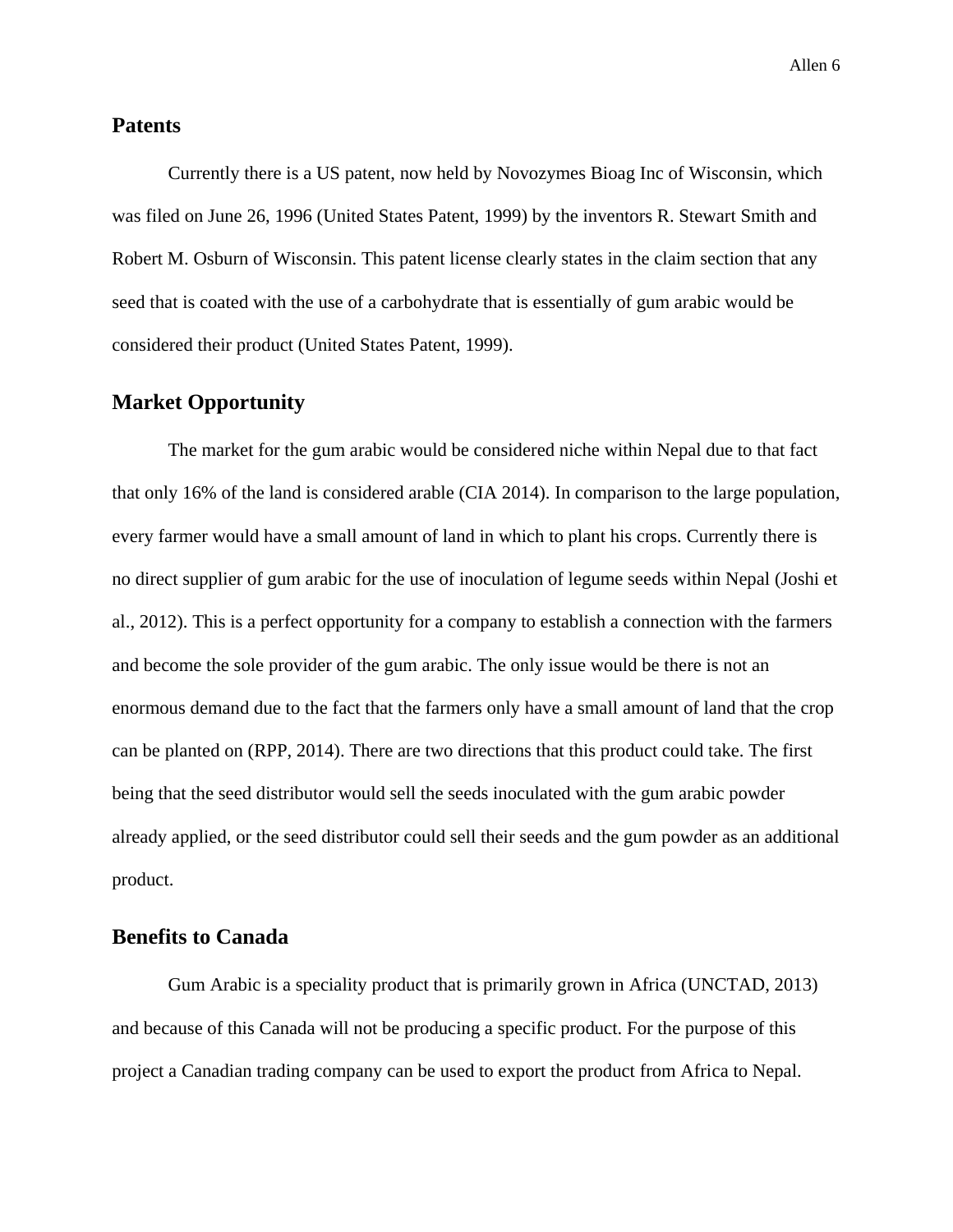### **Patents**

Currently there is a US patent, now held by Novozymes Bioag Inc of Wisconsin, which was filed on June 26, 1996 (United States Patent, 1999) by the inventors R. Stewart Smith and Robert M. Osburn of Wisconsin. This patent license clearly states in the claim section that any seed that is coated with the use of a carbohydrate that is essentially of gum arabic would be considered their product (United States Patent, 1999).

## **Market Opportunity**

The market for the gum arabic would be considered niche within Nepal due to that fact that only 16% of the land is considered arable (CIA 2014). In comparison to the large population, every farmer would have a small amount of land in which to plant his crops. Currently there is no direct supplier of gum arabic for the use of inoculation of legume seeds within Nepal (Joshi et al., 2012). This is a perfect opportunity for a company to establish a connection with the farmers and become the sole provider of the gum arabic. The only issue would be there is not an enormous demand due to the fact that the farmers only have a small amount of land that the crop can be planted on (RPP, 2014). There are two directions that this product could take. The first being that the seed distributor would sell the seeds inoculated with the gum arabic powder already applied, or the seed distributor could sell their seeds and the gum powder as an additional product.

## **Benefits to Canada**

Gum Arabic is a speciality product that is primarily grown in Africa (UNCTAD, 2013) and because of this Canada will not be producing a specific product. For the purpose of this project a Canadian trading company can be used to export the product from Africa to Nepal.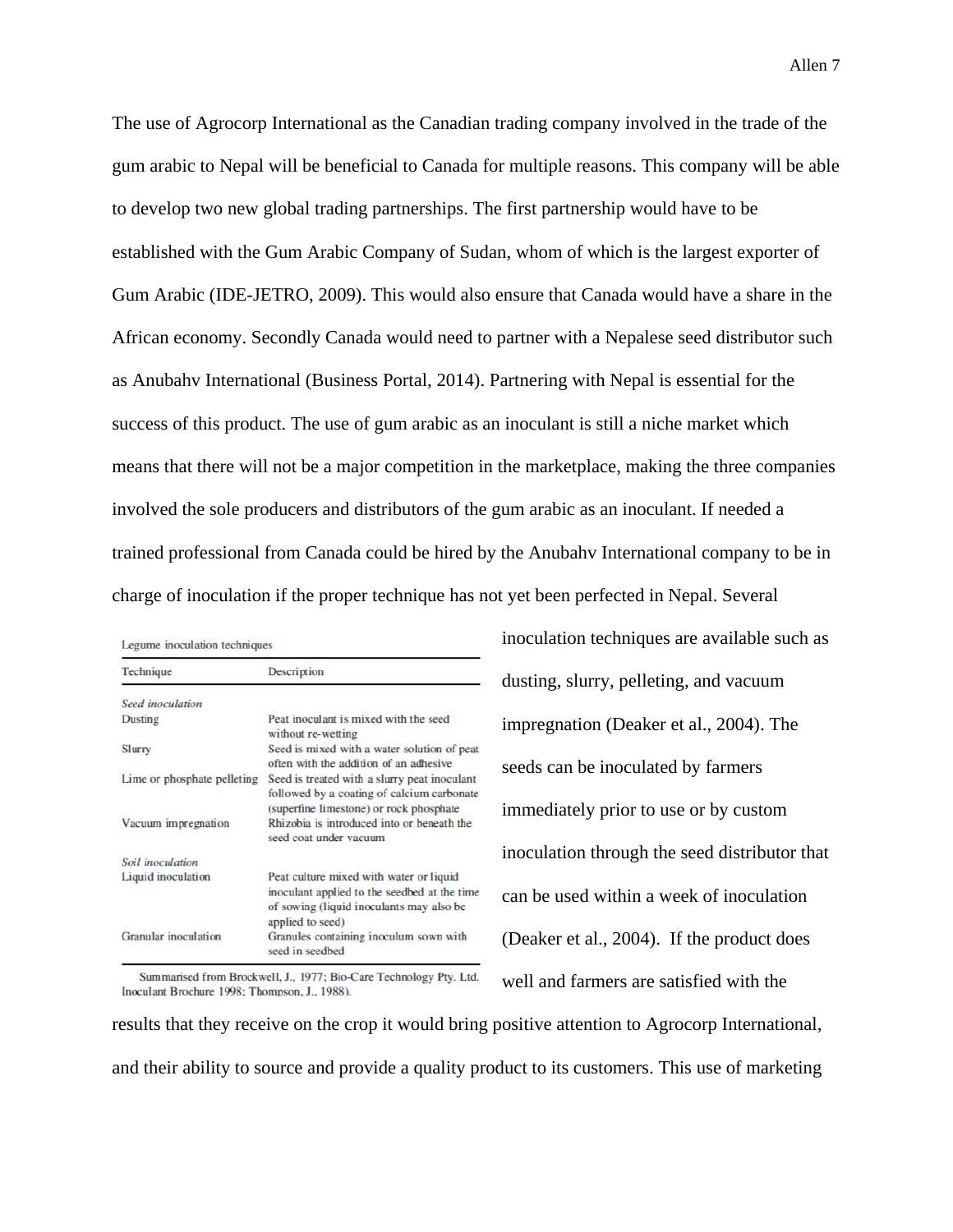The use of Agrocorp International as the Canadian trading company involved in the trade of the gum arabic to Nepal will be beneficial to Canada for multiple reasons. This company will be able to develop two new global trading partnerships. The first partnership would have to be established with the Gum Arabic Company of Sudan, whom of which is the largest exporter of Gum Arabic (IDE-JETRO, 2009). This would also ensure that Canada would have a share in the African economy. Secondly Canada would need to partner with a Nepalese seed distributor such as Anubahv International (Business Portal, 2014). Partnering with Nepal is essential for the success of this product. The use of gum arabic as an inoculant is still a niche market which means that there will not be a major competition in the marketplace, making the three companies involved the sole producers and distributors of the gum arabic as an inoculant. If needed a trained professional from Canada could be hired by the Anubahv International company to be in charge of inoculation if the proper technique has not yet been perfected in Nepal. Several

| Legume inoculation techniques |  |  |  |  |  |
|-------------------------------|--|--|--|--|--|
|-------------------------------|--|--|--|--|--|

| Technique                   | Description                                                                                                                                             |
|-----------------------------|---------------------------------------------------------------------------------------------------------------------------------------------------------|
| Seed inoculation            |                                                                                                                                                         |
| Dusting                     | Peat inoculant is mixed with the seed<br>without re-wetting                                                                                             |
| Slurry                      | Seed is mixed with a water solution of peat<br>often with the addition of an adhesive                                                                   |
| Lime or phosphate pelleting | Seed is treated with a slurry peat inoculant<br>followed by a coating of calcium carbonate<br>(superfine limestone) or rock phosphate                   |
| Vacuum impregnation         | Rhizobia is introduced into or beneath the<br>seed coat under vacuum                                                                                    |
| Soil inoculation            |                                                                                                                                                         |
| Liquid inoculation          | Peat culture mixed with water or liquid<br>inoculant applied to the seedbed at the time<br>of sowing (liquid inoculants may also be<br>applied to seed) |
| <b>Granular</b> inoculation | Granules containing inoculum sown with<br>seed in seedbed                                                                                               |

inoculation techniques are available such as dusting, slurry, pelleting, and vacuum impregnation (Deaker et al., 2004). The seeds can be inoculated by farmers immediately prior to use or by custom inoculation through the seed distributor that can be used within a week of inoculation (Deaker et al., 2004). If the product does well and farmers are satisfied with the

Summarised from Brockwell, J., 1977; Bio-Care Technology Pty. Ltd. Inoculant Brochure 1998; Thompson, J., 1988).

results that they receive on the crop it would bring positive attention to Agrocorp International, and their ability to source and provide a quality product to its customers. This use of marketing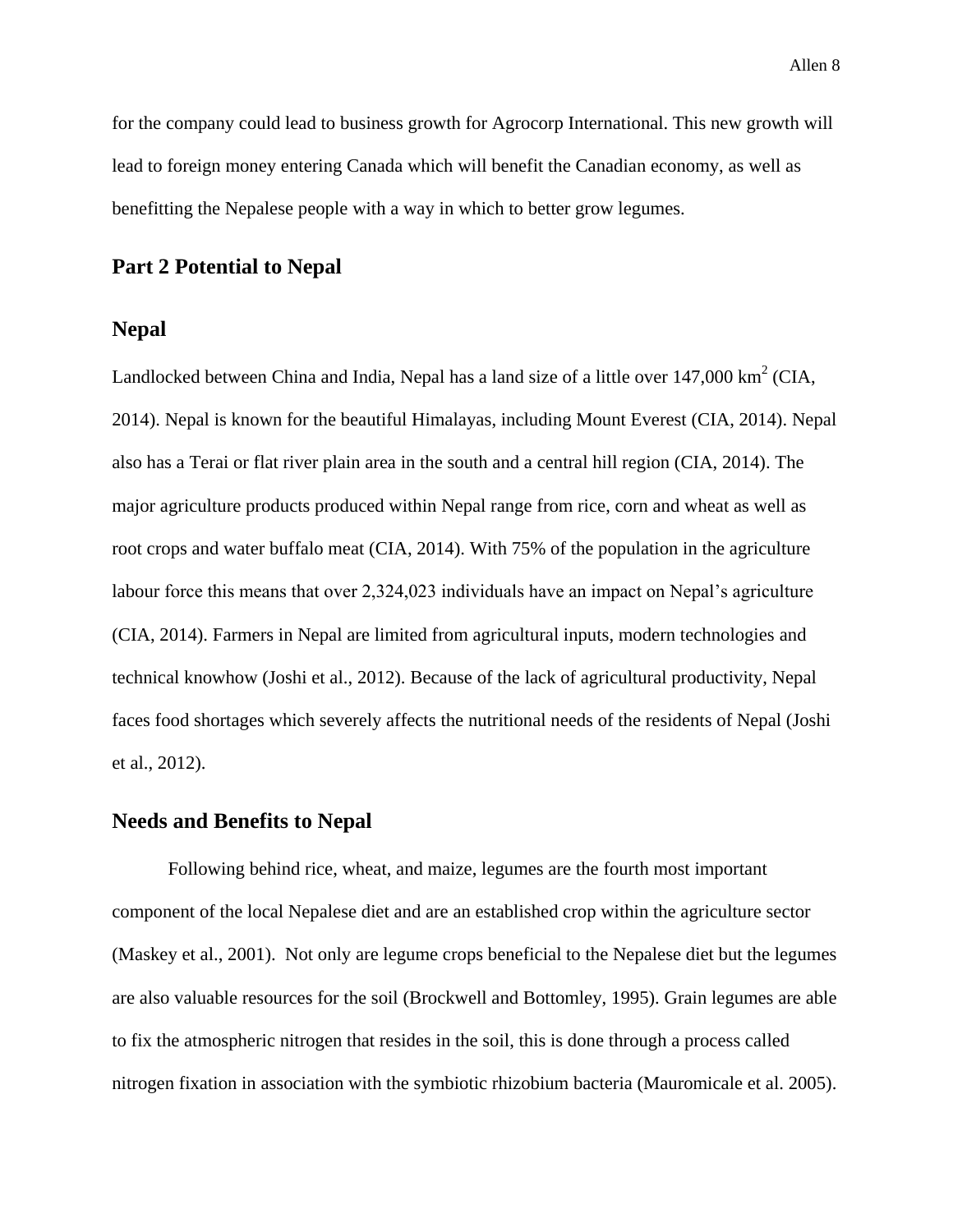for the company could lead to business growth for Agrocorp International. This new growth will lead to foreign money entering Canada which will benefit the Canadian economy, as well as benefitting the Nepalese people with a way in which to better grow legumes.

## **Part 2 Potential to Nepal**

### **Nepal**

Landlocked between China and India, Nepal has a land size of a little over  $147,000 \text{ km}^2 \text{ (CIA, }$ 2014). Nepal is known for the beautiful Himalayas, including Mount Everest (CIA, 2014). Nepal also has a Terai or flat river plain area in the south and a central hill region (CIA, 2014). The major agriculture products produced within Nepal range from rice, corn and wheat as well as root crops and water buffalo meat (CIA, 2014). With 75% of the population in the agriculture labour force this means that over 2,324,023 individuals have an impact on Nepal's agriculture (CIA, 2014). Farmers in Nepal are limited from agricultural inputs, modern technologies and technical knowhow (Joshi et al., 2012). Because of the lack of agricultural productivity, Nepal faces food shortages which severely affects the nutritional needs of the residents of Nepal (Joshi et al., 2012).

### **Needs and Benefits to Nepal**

Following behind rice, wheat, and maize, legumes are the fourth most important component of the local Nepalese diet and are an established crop within the agriculture sector (Maskey et al., 2001). Not only are legume crops beneficial to the Nepalese diet but the legumes are also valuable resources for the soil (Brockwell and Bottomley, 1995). Grain legumes are able to fix the atmospheric nitrogen that resides in the soil, this is done through a process called nitrogen fixation in association with the symbiotic rhizobium bacteria (Mauromicale et al. 2005).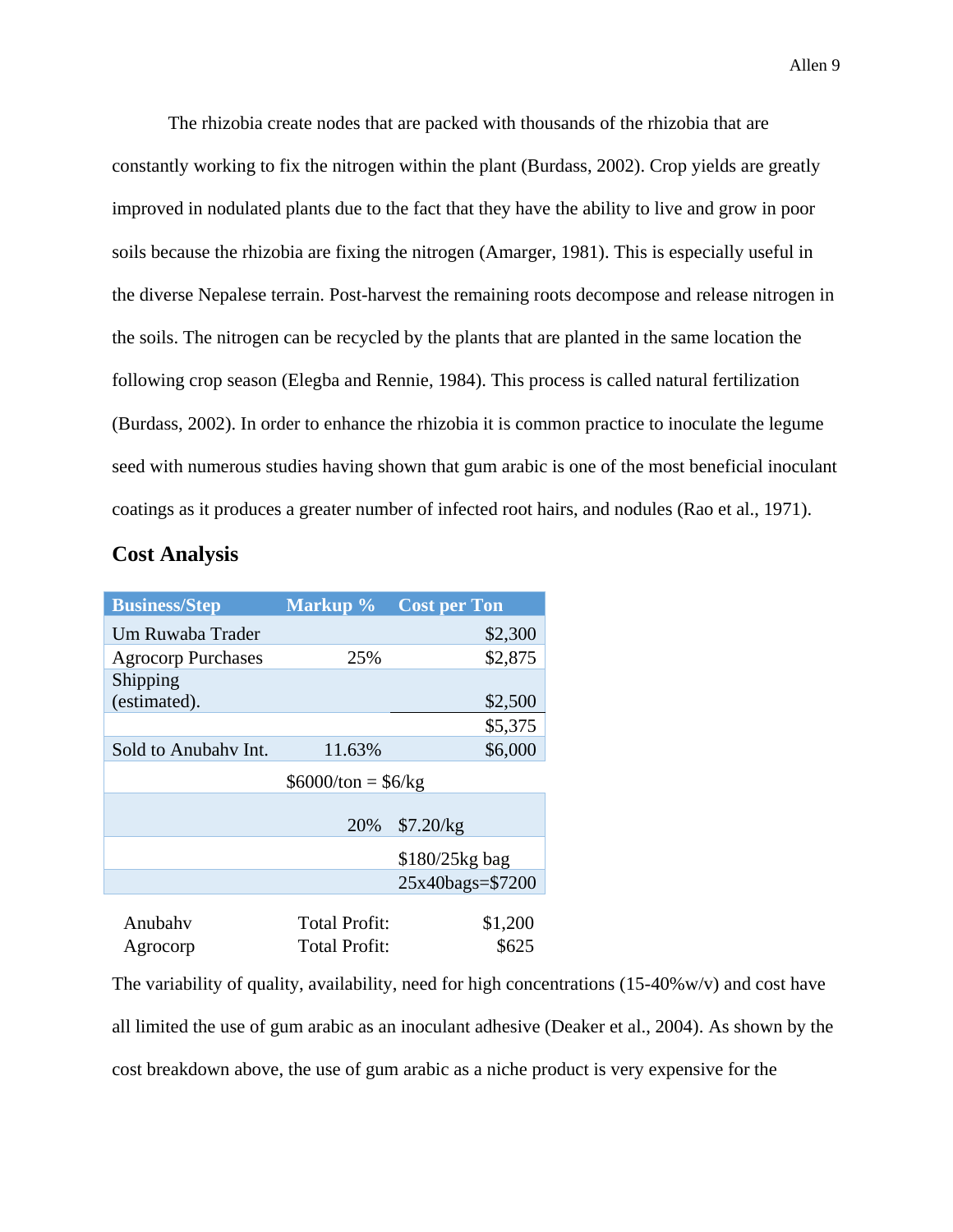The rhizobia create nodes that are packed with thousands of the rhizobia that are constantly working to fix the nitrogen within the plant (Burdass, 2002). Crop yields are greatly improved in nodulated plants due to the fact that they have the ability to live and grow in poor soils because the rhizobia are fixing the nitrogen (Amarger, 1981). This is especially useful in the diverse Nepalese terrain. Post-harvest the remaining roots decompose and release nitrogen in the soils. The nitrogen can be recycled by the plants that are planted in the same location the following crop season (Elegba and Rennie, 1984). This process is called natural fertilization (Burdass, 2002). In order to enhance the rhizobia it is common practice to inoculate the legume seed with numerous studies having shown that gum arabic is one of the most beneficial inoculant coatings as it produces a greater number of infected root hairs, and nodules (Rao et al., 1971).

### **Cost Analysis**

| <b>Business/Step</b>      | Markup %             | <b>Cost per Ton</b> |  |
|---------------------------|----------------------|---------------------|--|
| Um Ruwaba Trader          |                      | \$2,300             |  |
| <b>Agrocorp Purchases</b> | 25%                  | \$2,875             |  |
| Shipping                  |                      |                     |  |
| (estimated).              |                      | \$2,500             |  |
|                           |                      | \$5,375             |  |
| Sold to Anubahy Int.      | 11.63%               | \$6,000             |  |
|                           | $$6000/ton = $6/kg$  |                     |  |
|                           |                      |                     |  |
|                           | 20%                  | \$7.20/kg           |  |
|                           |                      | \$180/25kg bag      |  |
|                           |                      | 25x40bags=\$7200    |  |
|                           |                      |                     |  |
| Anubahv                   | <b>Total Profit:</b> | \$1,200             |  |
| Agrocorp                  | <b>Total Profit:</b> | \$625               |  |

The variability of quality, availability, need for high concentrations  $(15-40\% w/v)$  and cost have all limited the use of gum arabic as an inoculant adhesive (Deaker et al., 2004). As shown by the cost breakdown above, the use of gum arabic as a niche product is very expensive for the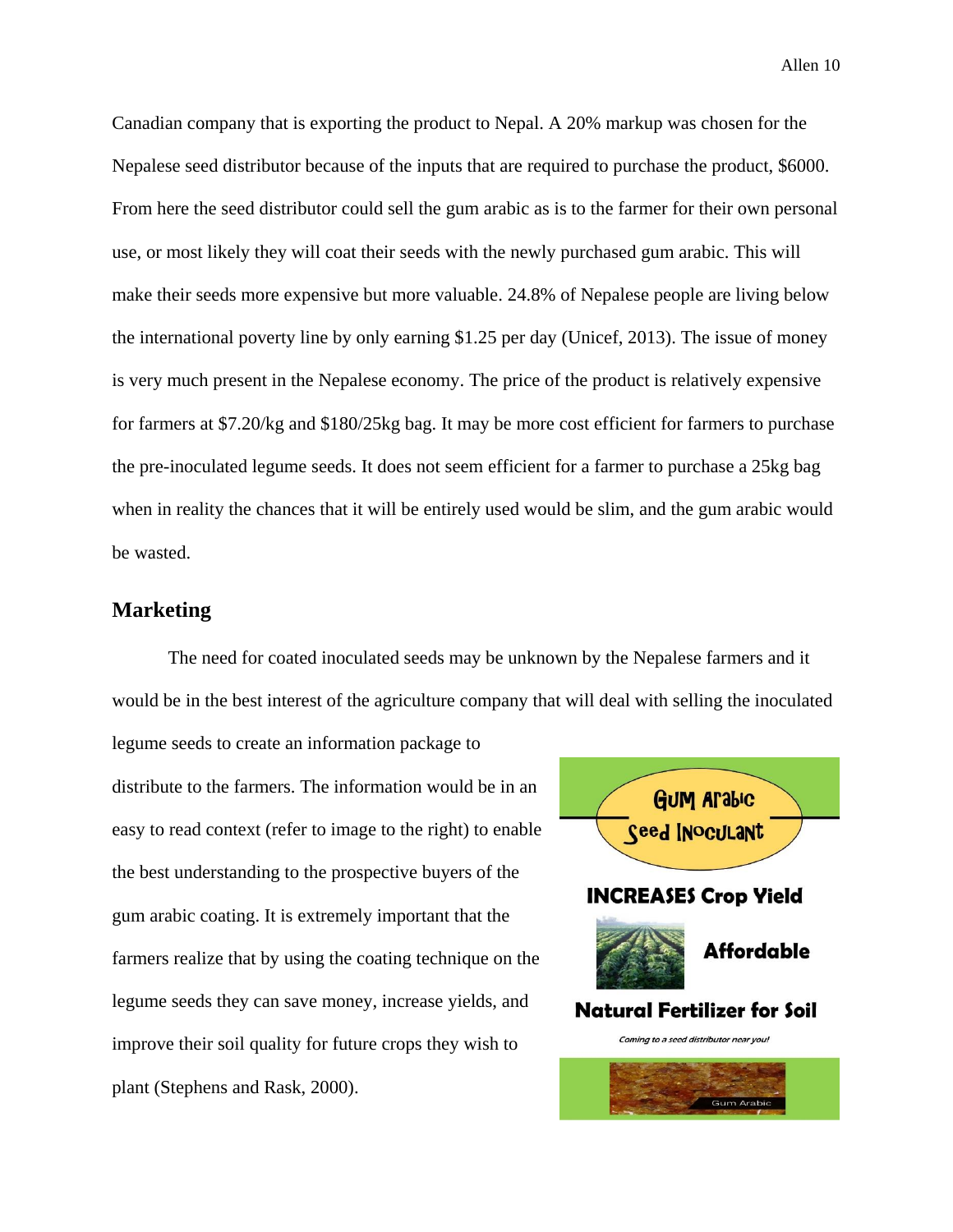Canadian company that is exporting the product to Nepal. A 20% markup was chosen for the Nepalese seed distributor because of the inputs that are required to purchase the product, \$6000. From here the seed distributor could sell the gum arabic as is to the farmer for their own personal use, or most likely they will coat their seeds with the newly purchased gum arabic. This will make their seeds more expensive but more valuable. 24.8% of Nepalese people are living below the international poverty line by only earning \$1.25 per day (Unicef, 2013). The issue of money is very much present in the Nepalese economy. The price of the product is relatively expensive for farmers at \$7.20/kg and \$180/25kg bag. It may be more cost efficient for farmers to purchase the pre-inoculated legume seeds. It does not seem efficient for a farmer to purchase a 25kg bag when in reality the chances that it will be entirely used would be slim, and the gum arabic would be wasted.

### **Marketing**

The need for coated inoculated seeds may be unknown by the Nepalese farmers and it would be in the best interest of the agriculture company that will deal with selling the inoculated

legume seeds to create an information package to distribute to the farmers. The information would be in an easy to read context (refer to image to the right) to enable the best understanding to the prospective buyers of the gum arabic coating. It is extremely important that the farmers realize that by using the coating technique on the legume seeds they can save money, increase yields, and improve their soil quality for future crops they wish to plant (Stephens and Rask, 2000).

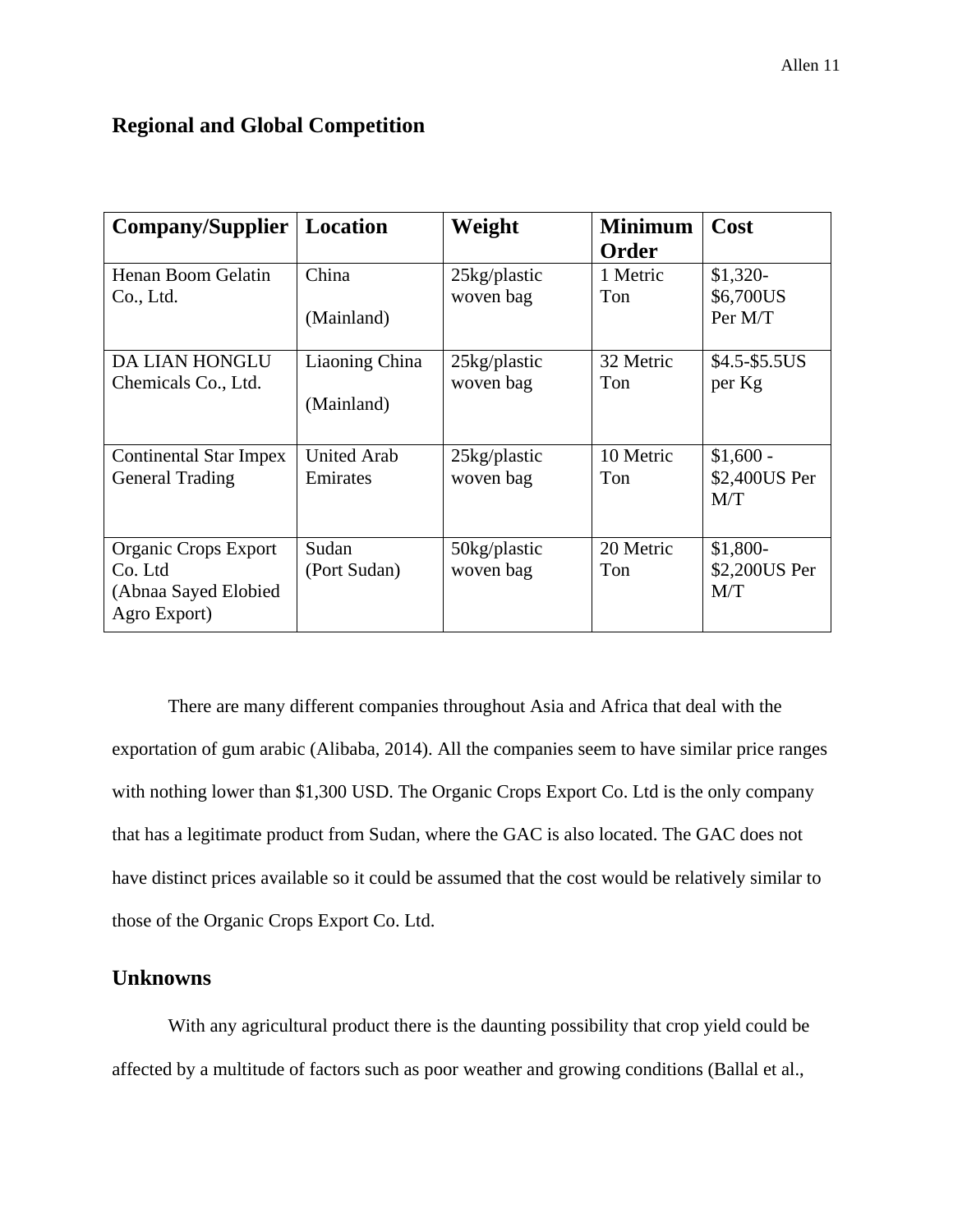# **Regional and Global Competition**

| <b>Company/Supplier</b>                                                        | Location                       | Weight                       | <b>Minimum</b><br>Order | Cost                               |
|--------------------------------------------------------------------------------|--------------------------------|------------------------------|-------------------------|------------------------------------|
| Henan Boom Gelatin<br>Co., Ltd.                                                | China<br>(Mainland)            | 25kg/plastic<br>woven bag    | 1 Metric<br>Ton         | $$1,320-$<br>\$6,700US<br>Per M/T  |
| <b>DA LIAN HONGLU</b><br>Chemicals Co., Ltd.                                   | Liaoning China<br>(Mainland)   | $25$ kg/plastic<br>woven bag | 32 Metric<br>Ton        | $$4.5-\$5.5US$<br>per Kg           |
| <b>Continental Star Impex</b><br><b>General Trading</b>                        | <b>United Arab</b><br>Emirates | $25$ kg/plastic<br>woven bag | 10 Metric<br>Ton        | $$1,600 -$<br>\$2,400US Per<br>M/T |
| <b>Organic Crops Export</b><br>Co. Ltd<br>(Abnaa Sayed Elobied<br>Agro Export) | Sudan<br>(Port Sudan)          | 50kg/plastic<br>woven bag    | 20 Metric<br>Ton        | \$1,800-<br>\$2,200US Per<br>M/T   |

There are many different companies throughout Asia and Africa that deal with the exportation of gum arabic (Alibaba, 2014). All the companies seem to have similar price ranges with nothing lower than \$1,300 USD. The Organic Crops Export Co. Ltd is the only company that has a legitimate product from Sudan, where the GAC is also located. The GAC does not have distinct prices available so it could be assumed that the cost would be relatively similar to those of the Organic Crops Export Co. Ltd.

## **Unknowns**

With any agricultural product there is the daunting possibility that crop yield could be affected by a multitude of factors such as poor weather and growing conditions (Ballal et al.,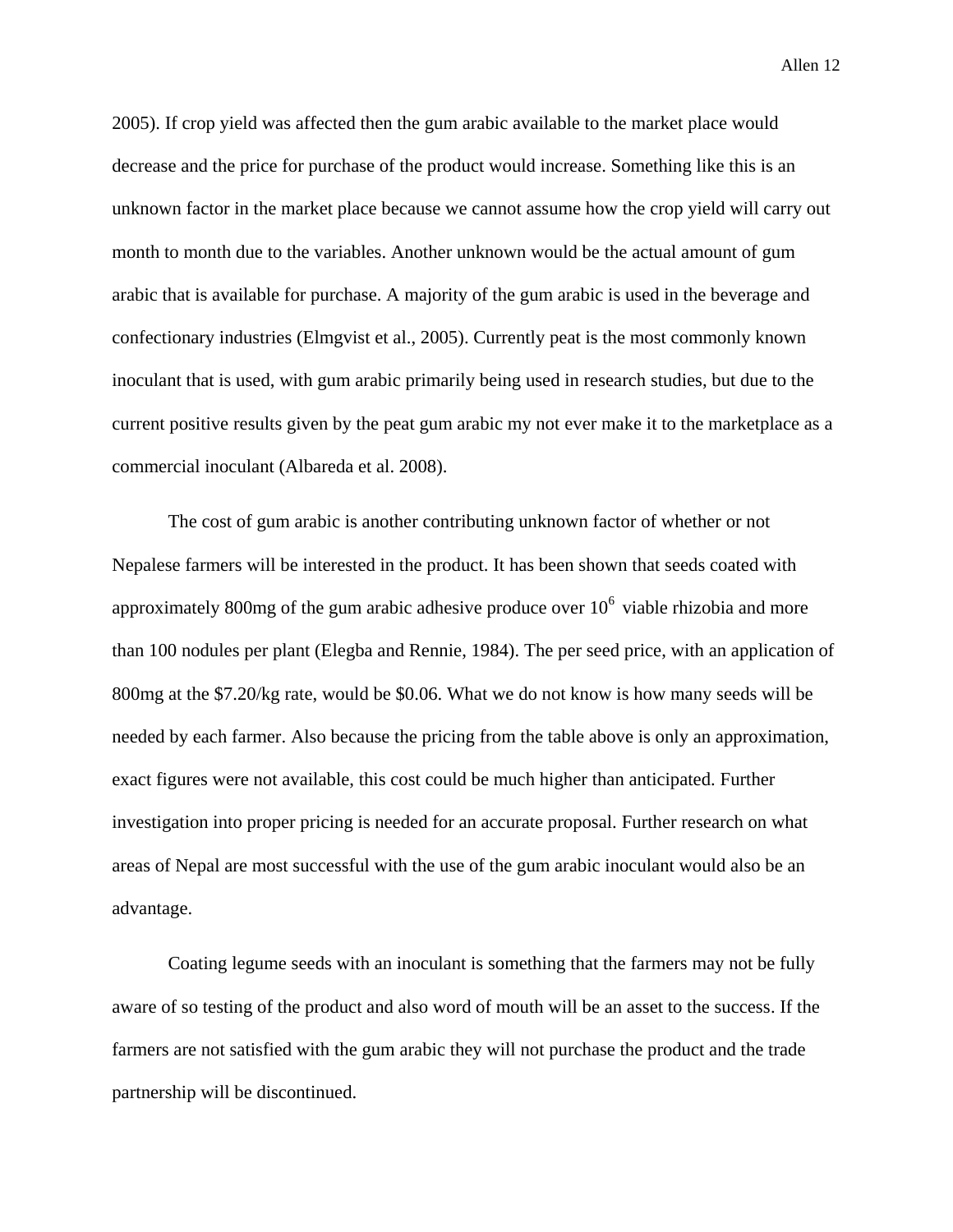2005). If crop yield was affected then the gum arabic available to the market place would decrease and the price for purchase of the product would increase. Something like this is an unknown factor in the market place because we cannot assume how the crop yield will carry out month to month due to the variables. Another unknown would be the actual amount of gum arabic that is available for purchase. A majority of the gum arabic is used in the beverage and confectionary industries (Elmgvist et al., 2005). Currently peat is the most commonly known inoculant that is used, with gum arabic primarily being used in research studies, but due to the current positive results given by the peat gum arabic my not ever make it to the marketplace as a commercial inoculant (Albareda et al. 2008).

The cost of gum arabic is another contributing unknown factor of whether or not Nepalese farmers will be interested in the product. It has been shown that seeds coated with approximately 800mg of the gum arabic adhesive produce over  $10<sup>6</sup>$  viable rhizobia and more than 100 nodules per plant (Elegba and Rennie, 1984). The per seed price, with an application of 800mg at the \$7.20/kg rate, would be \$0.06. What we do not know is how many seeds will be needed by each farmer. Also because the pricing from the table above is only an approximation, exact figures were not available, this cost could be much higher than anticipated. Further investigation into proper pricing is needed for an accurate proposal. Further research on what areas of Nepal are most successful with the use of the gum arabic inoculant would also be an advantage.

Coating legume seeds with an inoculant is something that the farmers may not be fully aware of so testing of the product and also word of mouth will be an asset to the success. If the farmers are not satisfied with the gum arabic they will not purchase the product and the trade partnership will be discontinued.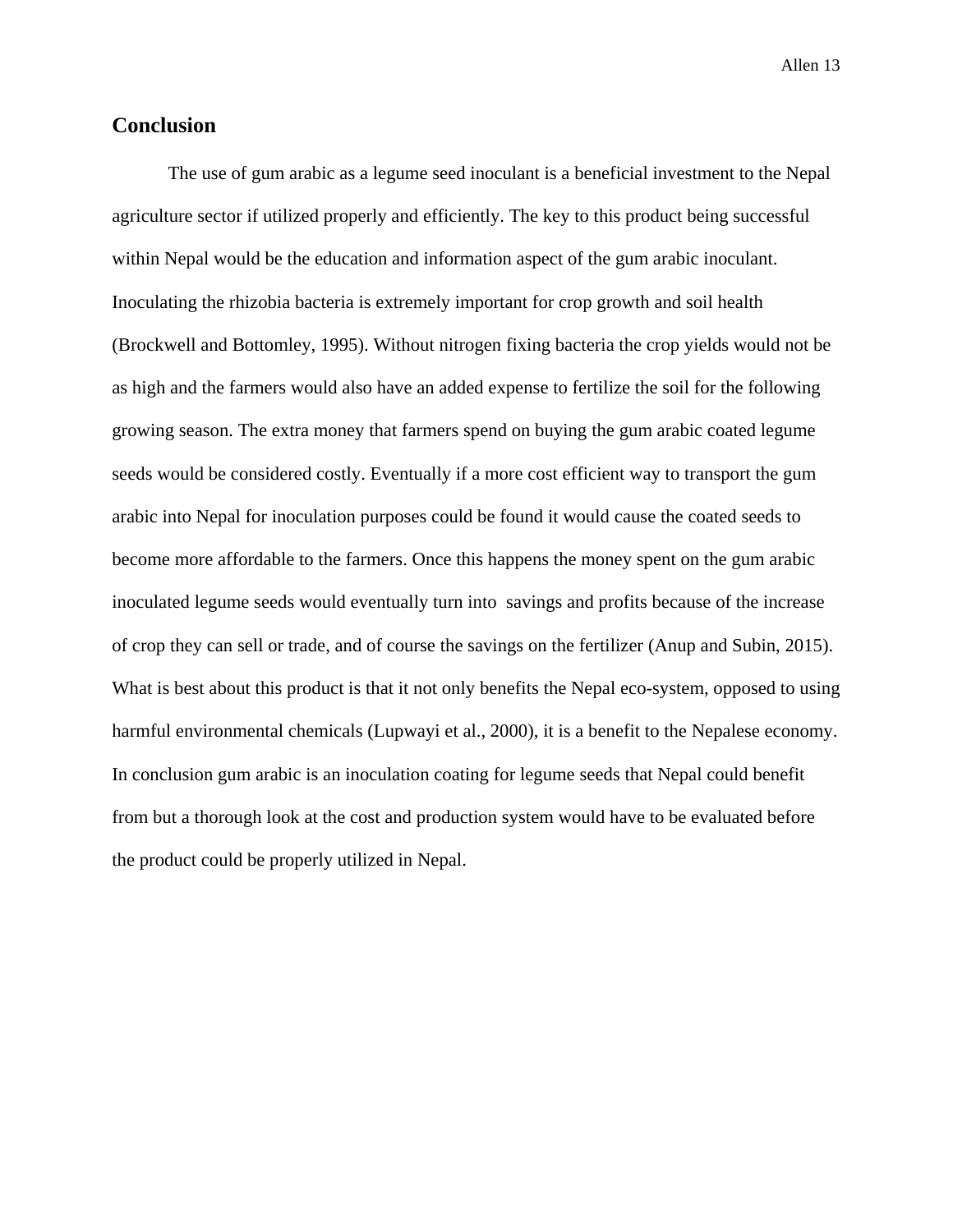## **Conclusion**

The use of gum arabic as a legume seed inoculant is a beneficial investment to the Nepal agriculture sector if utilized properly and efficiently. The key to this product being successful within Nepal would be the education and information aspect of the gum arabic inoculant. Inoculating the rhizobia bacteria is extremely important for crop growth and soil health (Brockwell and Bottomley, 1995). Without nitrogen fixing bacteria the crop yields would not be as high and the farmers would also have an added expense to fertilize the soil for the following growing season. The extra money that farmers spend on buying the gum arabic coated legume seeds would be considered costly. Eventually if a more cost efficient way to transport the gum arabic into Nepal for inoculation purposes could be found it would cause the coated seeds to become more affordable to the farmers. Once this happens the money spent on the gum arabic inoculated legume seeds would eventually turn into savings and profits because of the increase of crop they can sell or trade, and of course the savings on the fertilizer (Anup and Subin, 2015). What is best about this product is that it not only benefits the Nepal eco-system, opposed to using harmful environmental chemicals (Lupwayi et al., 2000), it is a benefit to the Nepalese economy. In conclusion gum arabic is an inoculation coating for legume seeds that Nepal could benefit from but a thorough look at the cost and production system would have to be evaluated before the product could be properly utilized in Nepal.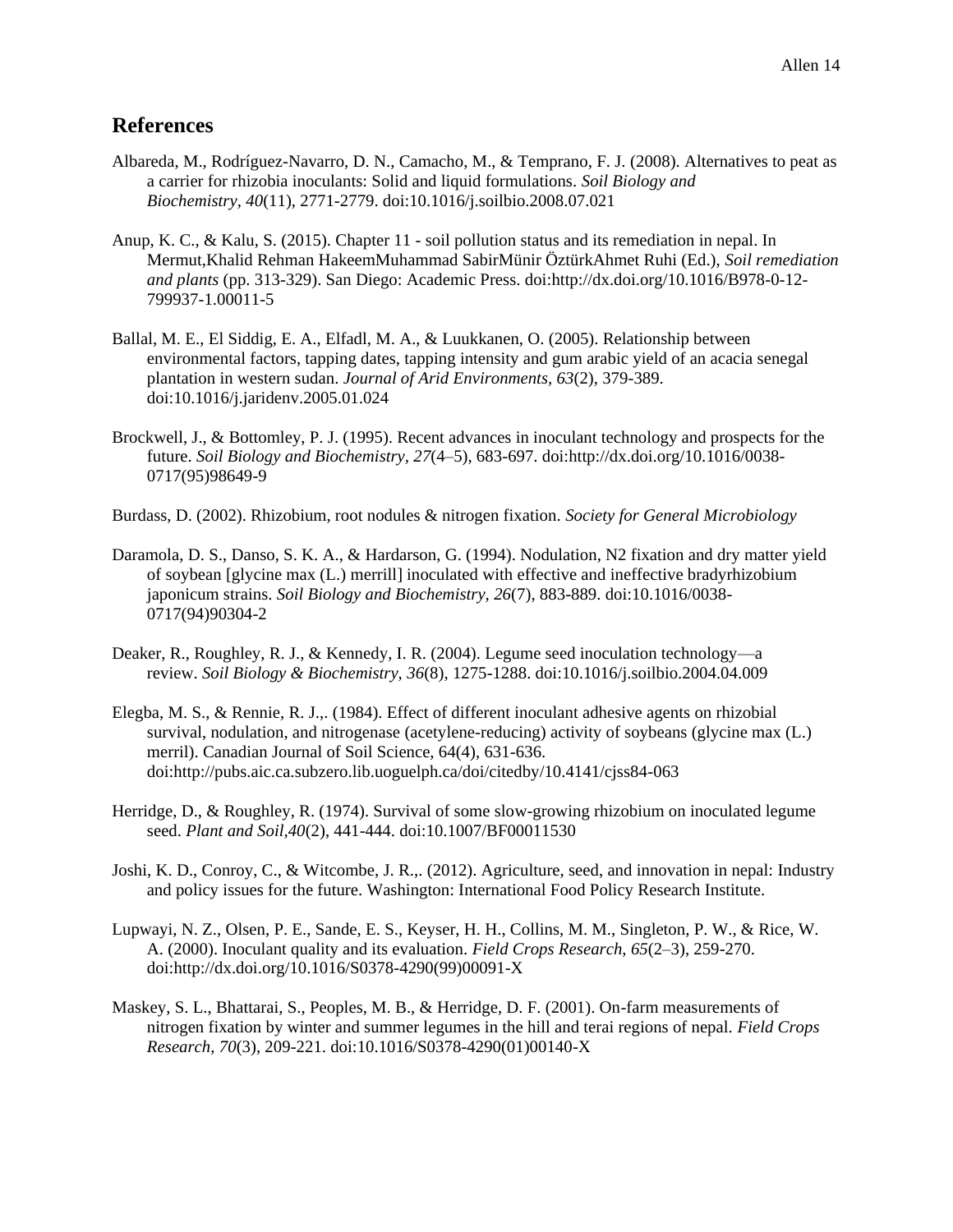# **References**

- Albareda, M., Rodríguez-Navarro, D. N., Camacho, M., & Temprano, F. J. (2008). Alternatives to peat as a carrier for rhizobia inoculants: Solid and liquid formulations. *Soil Biology and Biochemistry, 40*(11), 2771-2779. doi:10.1016/j.soilbio.2008.07.021
- Anup, K. C., & Kalu, S. (2015). Chapter 11 soil pollution status and its remediation in nepal. In Mermut,Khalid Rehman HakeemMuhammad SabirMünir ÖztürkAhmet Ruhi (Ed.), *Soil remediation and plants* (pp. 313-329). San Diego: Academic Press. doi:http://dx.doi.org/10.1016/B978-0-12- 799937-1.00011-5
- Ballal, M. E., El Siddig, E. A., Elfadl, M. A., & Luukkanen, O. (2005). Relationship between environmental factors, tapping dates, tapping intensity and gum arabic yield of an acacia senegal plantation in western sudan. *Journal of Arid Environments, 63*(2), 379-389. doi:10.1016/j.jaridenv.2005.01.024
- Brockwell, J., & Bottomley, P. J. (1995). Recent advances in inoculant technology and prospects for the future. *Soil Biology and Biochemistry, 27*(4–5), 683-697. doi:http://dx.doi.org/10.1016/0038- 0717(95)98649-9
- Burdass, D. (2002). Rhizobium, root nodules & nitrogen fixation. *Society for General Microbiology*
- Daramola, D. S., Danso, S. K. A., & Hardarson, G. (1994). Nodulation, N2 fixation and dry matter yield of soybean [glycine max (L.) merrill] inoculated with effective and ineffective bradyrhizobium japonicum strains. *Soil Biology and Biochemistry, 26*(7), 883-889. doi:10.1016/0038- 0717(94)90304-2
- Deaker, R., Roughley, R. J., & Kennedy, I. R. (2004). Legume seed inoculation technology—a review. *Soil Biology & Biochemistry, 36*(8), 1275-1288. doi:10.1016/j.soilbio.2004.04.009
- Elegba, M. S., & Rennie, R. J.,. (1984). Effect of different inoculant adhesive agents on rhizobial survival, nodulation, and nitrogenase (acetylene-reducing) activity of soybeans (glycine max (L.) merril). Canadian Journal of Soil Science, 64(4), 631-636. doi:http://pubs.aic.ca.subzero.lib.uoguelph.ca/doi/citedby/10.4141/cjss84-063
- Herridge, D., & Roughley, R. (1974). Survival of some slow-growing rhizobium on inoculated legume seed. *Plant and Soil,40*(2), 441-444. doi:10.1007/BF00011530
- Joshi, K. D., Conroy, C., & Witcombe, J. R.,. (2012). Agriculture, seed, and innovation in nepal: Industry and policy issues for the future. Washington: International Food Policy Research Institute.
- Lupwayi, N. Z., Olsen, P. E., Sande, E. S., Keyser, H. H., Collins, M. M., Singleton, P. W., & Rice, W. A. (2000). Inoculant quality and its evaluation. *Field Crops Research, 65*(2–3), 259-270. doi:http://dx.doi.org/10.1016/S0378-4290(99)00091-X
- Maskey, S. L., Bhattarai, S., Peoples, M. B., & Herridge, D. F. (2001). On-farm measurements of nitrogen fixation by winter and summer legumes in the hill and terai regions of nepal. *Field Crops Research, 70*(3), 209-221. doi:10.1016/S0378-4290(01)00140-X